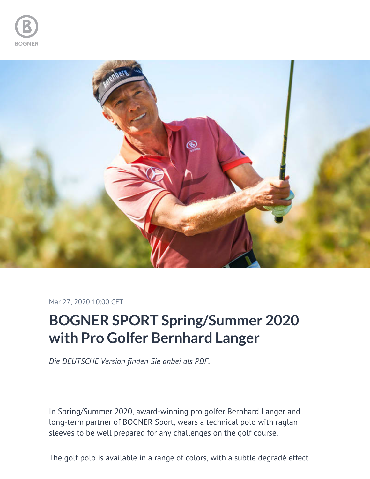



Mar 27, 2020 10:00 CET

# **BOGNER SPORT Spring/Summer 2020 with Pro Golfer Bernhard Langer**

*Die DEUTSCHE Version finden Sie anbei als PDF.*

In Spring/Summer 2020, award-winning pro golfer Bernhard Langer and long-term partner of BOGNER Sport, wears a technical polo with raglan sleeves to be well prepared for any challenges on the golf course.

The golf polo is available in a range of colors, with a subtle degradé effect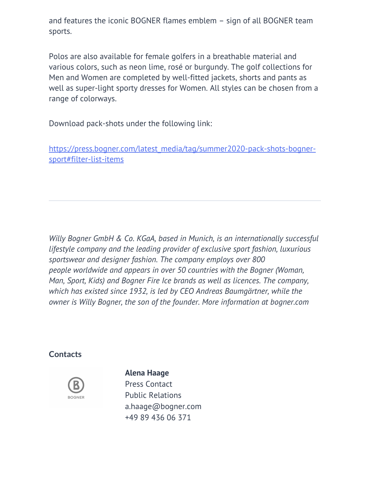and features the iconic BOGNER flames emblem – sign of all BOGNER team sports.

Polos are also available for female golfers in a breathable material and various colors, such as neon lime, rosé or burgundy. The golf collections for Men and Women are completed by well-fitted jackets, shorts and pants as well as super-light sporty dresses for Women. All styles can be chosen from a range of colorways.

Download pack-shots under the following link:

[https://press.bogner.com/latest\\_media/tag/summer2020-pack-shots-bogner](https://press.bogner.com/latest_media/tag/summer2020-pack-shots-bogner-sport#filter-list-items)[sport#filter-list-items](https://press.bogner.com/latest_media/tag/summer2020-pack-shots-bogner-sport#filter-list-items)

*Willy Bogner GmbH & Co. KGaA, based in Munich, is an internationally successful lifestyle company and the leading provider of exclusive sport fashion, luxurious sportswear and designer fashion. The company employs over 800 people worldwide and appears in over 50 countries with the Bogner (Woman, Man, Sport, Kids) and Bogner Fire Ice brands as well as licences. The company, which has existed since 1932, is led by CEO Andreas Baumgärtner, while the owner is Willy Bogner, the son of the founder. More information at bogner.com*

### **Contacts**



#### **Alena Haage**

Press Contact Public Relations [a.haage@bogner.com](mailto:a.haage@bogner.com) [+49 89 436 06 371](tel:+49 89 436 06 371)